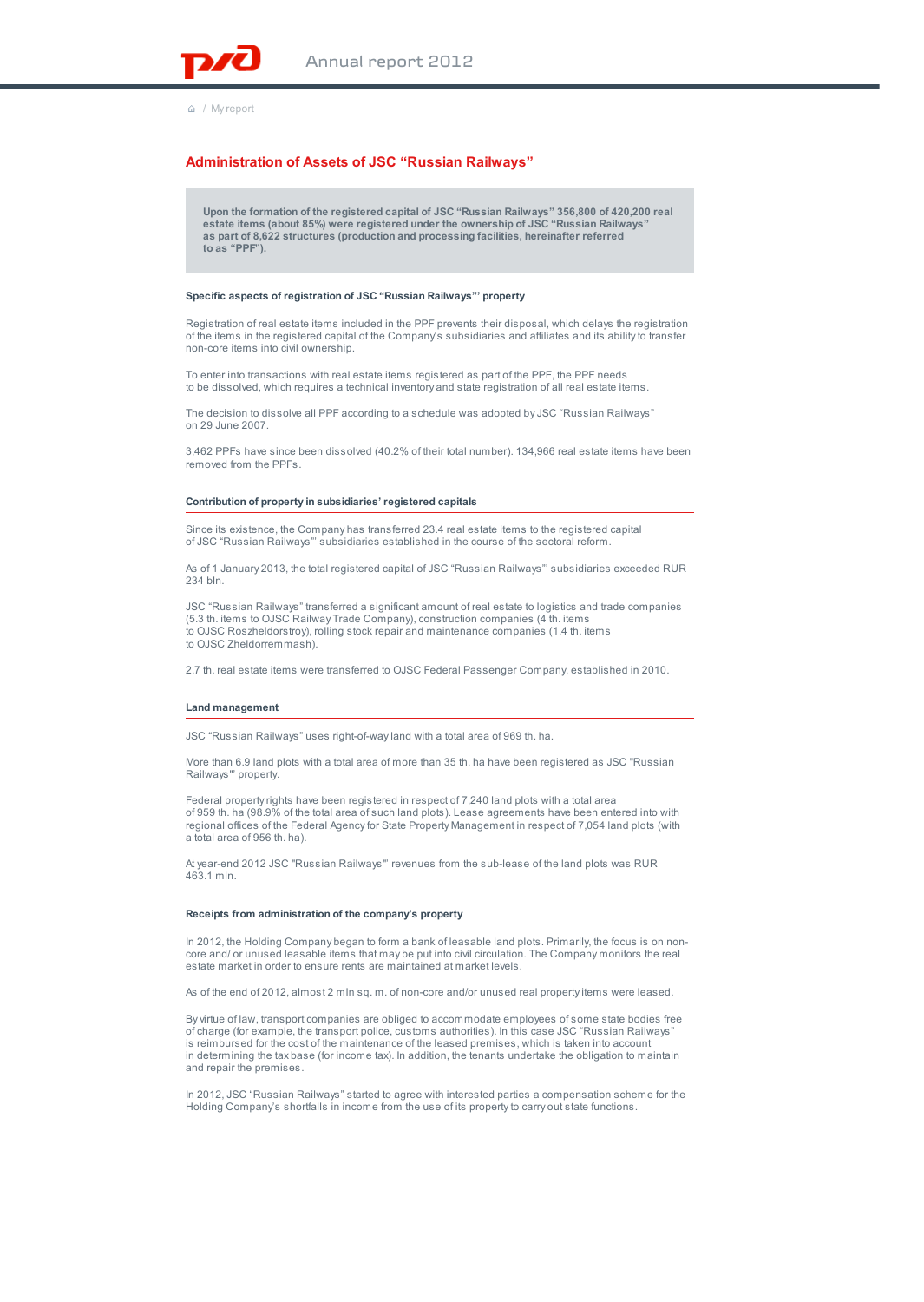

/ My report

# **Administration of Assets of JSC "Russian Railways"**

**Upon the formation of the registered capital of JSC "Russian Railways" 356,800 of 420,200 real estate items (about 85%) were registered under the ownership of JSC "Russian Railways" as part of 8,622 structures (production and processing facilities, hereinafter referred to as "PPF").**

### **Specific aspects of registration of JSC "Russian Railways"' property**

Registration of real estate items included in the PPF prevents their disposal, which delays the registration of the items in the registered capital of the Company's subsidiaries and affiliates and its ability to transfer non-core items into civil ownership.

To enter into transactions with real estate items registered as part of the PPF, the PPF needs to be dissolved, which requires a technical inventory and state registration of all real estate items.

The decision to dissolve all PPF according to a schedule was adopted by JSC "Russian Railways" on 29 June 2007.

3,462 PPFs have since been dissolved (40.2% of their total number). 134,966 real estate items have been removed from the PPFs.

# **Contribution of property in subsidiaries' registered capitals**

Since its existence, the Company has transferred 23.4 real estate items to the registered capital of JSC "Russian Railways"' subsidiaries established in the course of the sectoral reform.

As of 1 January 2013, the total registered capital of JSC "Russian Railways"' subsidiaries exceeded RUR 234 bln.

JSC "Russian Railways" transferred a significant amount of real estate to logistics and trade companies (5.3 th. items to OJSC Railway Trade Company), construction companies (4 th. items to OJSC Roszheldorstroy), rolling stock repair and maintenance companies (1.4 th. items to OJSC Zheldorremmash).

2.7 th. real estate items were transferred to OJSC Federal Passenger Company, established in 2010.

## **Land management**

JSC "Russian Railways" uses right-of-way land with a total area of 969 th. ha.

More than 6.9 land plots with a total area of more than 35 th. ha have been registered as JSC "Russian Railways"' property.

Federal property rights have been registered in respect of 7,240 land plots with a total area of 959 th. ha (98.9% of the total area of such land plots). Lease agreements have been entered into with regional offices of the Federal Agency for State Property Management in respect of 7,054 land plots (with a total area of 956 th. ha).

At year-end 2012 JSC "Russian Railways"' revenues from the sub-lease of the land plots was RUR 463.1 mln.

### **Receipts from administration of the company's property**

In 2012, the Holding Company began to form a bank of leasable land plots. Primarily, the focus is on noncore and/ or unused leasable items that may be put into civil circulation. The Company monitors the real estate market in order to ensure rents are maintained at market levels.

As of the end of 2012, almost 2 mln sq. m. of non-core and/or unused real property items were leased.

By virtue of law, transport companies are obliged to accommodate employees of some state bodies free of charge (for example, the transport police, customs authorities). In this case JSC "Russian Railways" is reimbursed for the cost of the maintenance of the leased premises, which is taken into account in determining the tax base (for income tax). In addition, the tenants undertake the obligation to maintain and repair the premises.

In 2012, JSC "Russian Railways" started to agree with interested parties a compensation scheme for the Holding Company's shortfalls in income from the use of its property to carry out state functions.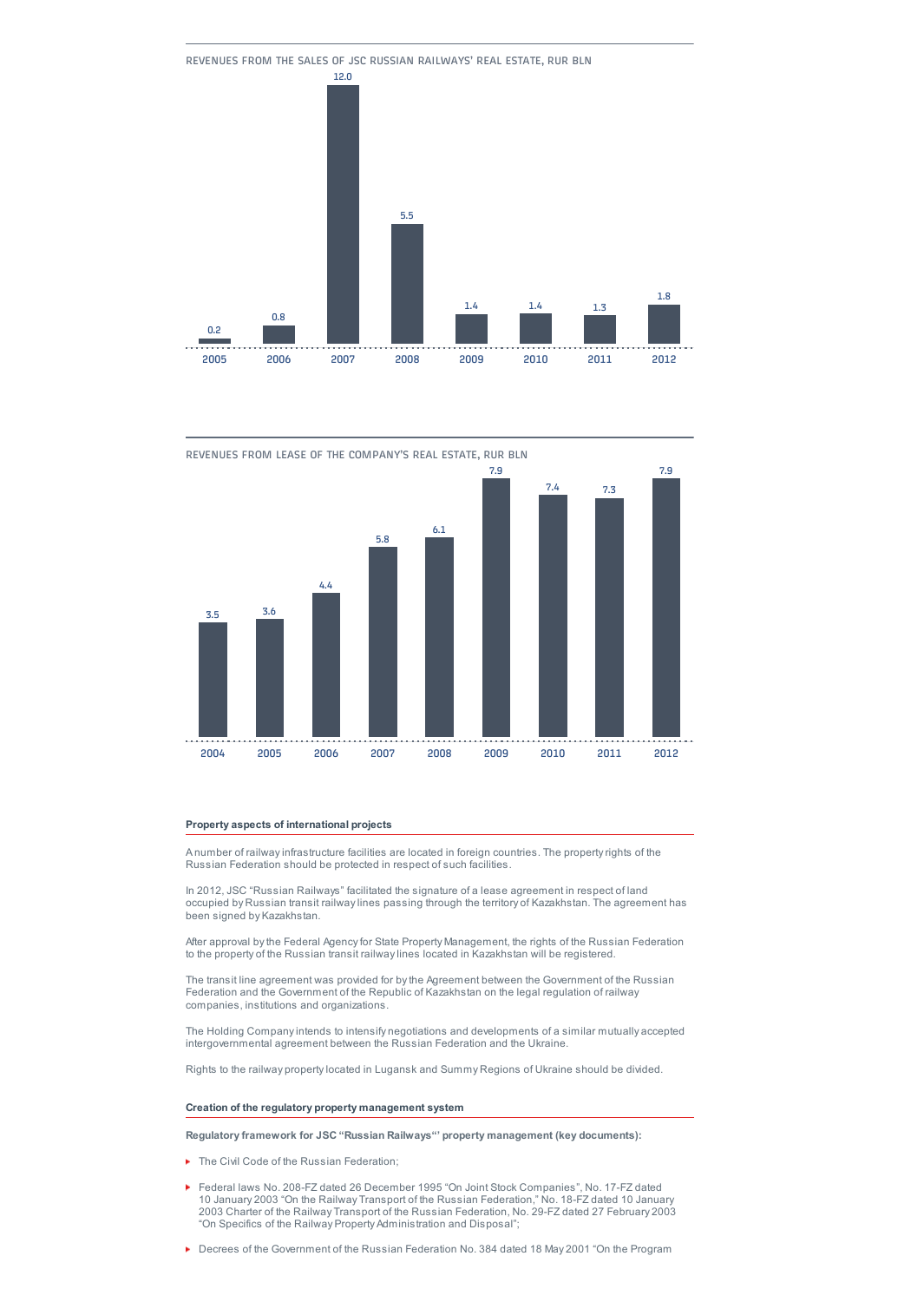





# **Property aspects of international projects**

A number of railway infrastructure facilities are located in foreign countries. The property rights of the Russian Federation should be protected in respect of such facilities.

In 2012, JSC "Russian Railways" facilitated the signature of a lease agreement in respect of land occupied by Russian transit railway lines passing through the territory of Kazakhstan. The agreement has been signed by Kazakhstan.

After approval by the Federal Agency for State Property Management, the rights of the Russian Federation to the property of the Russian transit railway lines located in Kazakhstan will be registered.

The transit line agreement was provided for by the Agreement between the Government of the Russian Federation and the Government of the Republic of Kazakhstan on the legal regulation of railway companies, institutions and organizations.

The Holding Company intends to intensify negotiations and developments of a similar mutually accepted intergovernmental agreement between the Russian Federation and the Ukraine.

Rights to the railway property located in Lugansk and Summy Regions of Ukraine should be divided.

# **Creation of the regulatory property management system**

**Regulatory framework for JSC "Russian Railways"' property management (key documents):**

- ▶ The Civil Code of the Russian Federation;
- Federal laws No. 208-FZ dated 26 December 1995 "On Joint Stock Companies", No. 17-FZ dated 10 January 2003 "On the Railway Transport of the Russian Federation," No. 18-FZ dated 10 January 2003 Charter of the Railway Transport of the Russian Federation, No. 29-FZ dated 27 February 2003 "On Specifics of the Railway Property Administration and Disposal";
- **Decrees of the Government of the Russian Federation No. 384 dated 18 May 2001 "On the Program**